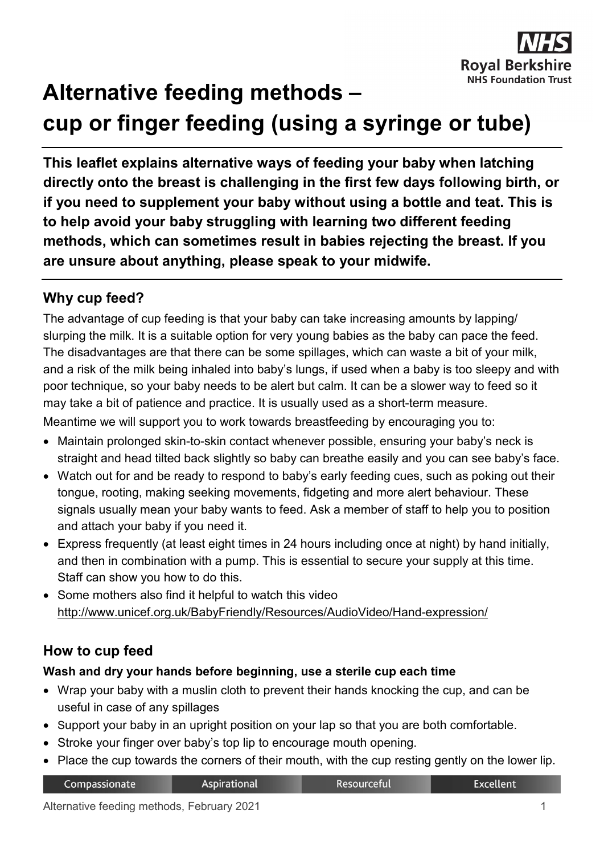

# **Alternative feeding methods – cup or finger feeding (using a syringe or tube)**

**This leaflet explains alternative ways of feeding your baby when latching directly onto the breast is challenging in the first few days following birth, or if you need to supplement your baby without using a bottle and teat. This is to help avoid your baby struggling with learning two different feeding methods, which can sometimes result in babies rejecting the breast. If you are unsure about anything, please speak to your midwife.**

## **Why cup feed?**

The advantage of cup feeding is that your baby can take increasing amounts by lapping/ slurping the milk. It is a suitable option for very young babies as the baby can pace the feed. The disadvantages are that there can be some spillages, which can waste a bit of your milk, and a risk of the milk being inhaled into baby's lungs, if used when a baby is too sleepy and with poor technique, so your baby needs to be alert but calm. It can be a slower way to feed so it may take a bit of patience and practice. It is usually used as a short-term measure. Meantime we will support you to work towards breastfeeding by encouraging you to:

- Maintain prolonged skin-to-skin contact whenever possible, ensuring your baby's neck is straight and head tilted back slightly so baby can breathe easily and you can see baby's face.
- Watch out for and be ready to respond to baby's early feeding cues, such as poking out their tongue, rooting, making seeking movements, fidgeting and more alert behaviour. These signals usually mean your baby wants to feed. Ask a member of staff to help you to position and attach your baby if you need it.
- Express frequently (at least eight times in 24 hours including once at night) by hand initially, and then in combination with a pump. This is essential to secure your supply at this time. Staff can show you how to do this.
- Some mothers also find it helpful to watch this video <http://www.unicef.org.uk/BabyFriendly/Resources/AudioVideo/Hand-expression/>

# **How to cup feed**

#### **Wash and dry your hands before beginning, use a sterile cup each time**

- Wrap your baby with a muslin cloth to prevent their hands knocking the cup, and can be useful in case of any spillages
- Support your baby in an upright position on your lap so that you are both comfortable.
- Stroke your finger over baby's top lip to encourage mouth opening.
- Place the cup towards the corners of their mouth, with the cup resting gently on the lower lip.

| Compassionate | <b>Aspirational</b> | <b>Resourceful</b> | <b>Excellent</b> |
|---------------|---------------------|--------------------|------------------|
|---------------|---------------------|--------------------|------------------|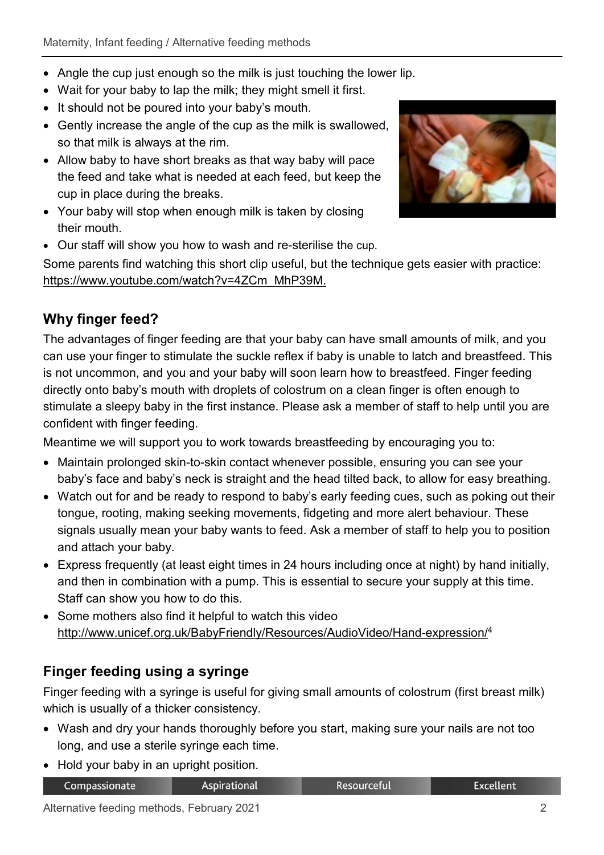- Angle the cup just enough so the milk is just touching the lower lip.
- Wait for your baby to lap the milk; they might smell it first.
- It should not be poured into your baby's mouth.
- Gently increase the angle of the cup as the milk is swallowed, so that milk is always at the rim.
- Allow baby to have short breaks as that way baby will pace the feed and take what is needed at each feed, but keep the cup in place during the breaks.
- Your baby will stop when enough milk is taken by closing their mouth.
- Our staff will show you how to wash and re-sterilise the cup.

Some parents find watching this short clip useful, but the technique gets easier with practice: [https://www.youtube.com/watch?v=4ZCm\\_MhP39M.](https://www.youtube.com/watch?v=4ZCm_MhP39M)

# **Why finger feed?**

The advantages of finger feeding are that your baby can have small amounts of milk, and you can use your finger to stimulate the suckle reflex if baby is unable to latch and breastfeed. This is not uncommon, and you and your baby will soon learn how to breastfeed. Finger feeding directly onto baby's mouth with droplets of colostrum on a clean finger is often enough to stimulate a sleepy baby in the first instance. Please ask a member of staff to help until you are confident with finger feeding.

Meantime we will support you to work towards breastfeeding by encouraging you to:

- Maintain prolonged skin-to-skin contact whenever possible, ensuring you can see your baby's face and baby's neck is straight and the head tilted back, to allow for easy breathing.
- Watch out for and be ready to respond to baby's early feeding cues, such as poking out their tongue, rooting, making seeking movements, fidgeting and more alert behaviour. These signals usually mean your baby wants to feed. Ask a member of staff to help you to position and attach your baby.
- Express frequently (at least eight times in 24 hours including once at night) by hand initially, and then in combination with a pump. This is essential to secure your supply at this time. Staff can show you how to do this.
- Some mothers also find it helpful to watch this video [http://www.unicef.org.uk/BabyFriendly/Resources/AudioVideo/Hand-expression/4](http://www.unicef.org.uk/BabyFriendly/Resources/AudioVideo/Hand-expression/)

# **Finger feeding using a syringe**

Finger feeding with a syringe is useful for giving small amounts of colostrum (first breast milk) which is usually of a thicker consistency.

• Wash and dry your hands thoroughly before you start, making sure your nails are not too long, and use a sterile syringe each time.

Resourceful

• Hold your baby in an upright position.

Col

| mpassionate | Aspirationa |
|-------------|-------------|
|             |             |

**Excellent**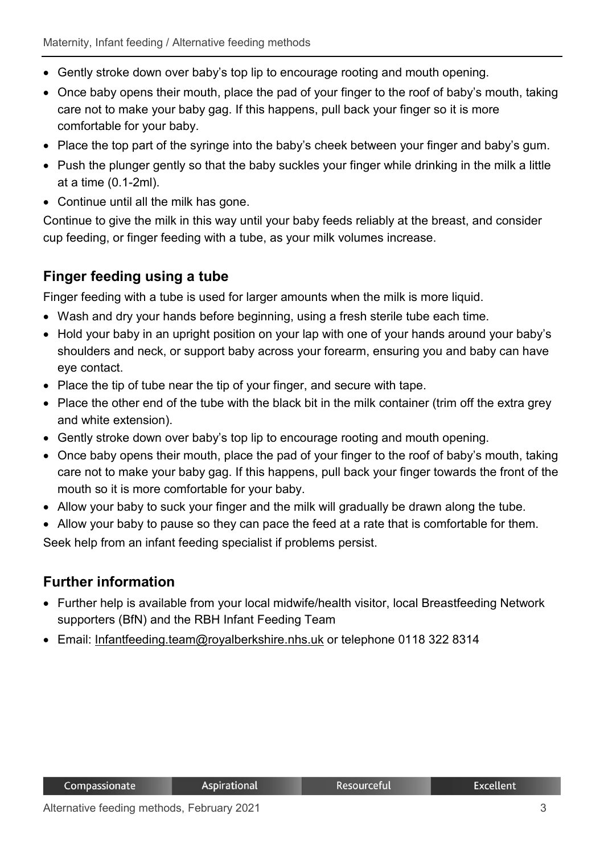- Gently stroke down over baby's top lip to encourage rooting and mouth opening.
- Once baby opens their mouth, place the pad of your finger to the roof of baby's mouth, taking care not to make your baby gag. If this happens, pull back your finger so it is more comfortable for your baby.
- Place the top part of the syringe into the baby's cheek between your finger and baby's gum.
- Push the plunger gently so that the baby suckles your finger while drinking in the milk a little at a time (0.1-2ml).
- Continue until all the milk has gone.

Continue to give the milk in this way until your baby feeds reliably at the breast, and consider cup feeding, or finger feeding with a tube, as your milk volumes increase.

## **Finger feeding using a tube**

Finger feeding with a tube is used for larger amounts when the milk is more liquid.

- Wash and dry your hands before beginning, using a fresh sterile tube each time.
- Hold your baby in an upright position on your lap with one of your hands around your baby's shoulders and neck, or support baby across your forearm, ensuring you and baby can have eye contact.
- Place the tip of tube near the tip of your finger, and secure with tape.
- Place the other end of the tube with the black bit in the milk container (trim off the extra grey and white extension).
- Gently stroke down over baby's top lip to encourage rooting and mouth opening.
- Once baby opens their mouth, place the pad of your finger to the roof of baby's mouth, taking care not to make your baby gag. If this happens, pull back your finger towards the front of the mouth so it is more comfortable for your baby.
- Allow your baby to suck your finger and the milk will gradually be drawn along the tube.
- Allow your baby to pause so they can pace the feed at a rate that is comfortable for them.

Seek help from an infant feeding specialist if problems persist.

#### **Further information**

Compassionate

• Further help is available from your local midwife/health visitor, local Breastfeeding Network supporters (BfN) and the RBH Infant Feeding Team

Resourceful

• Email: Infantfeeding.team@rovalberkshire.nhs.uk or telephone 0118 322 8314

**Aspirational**